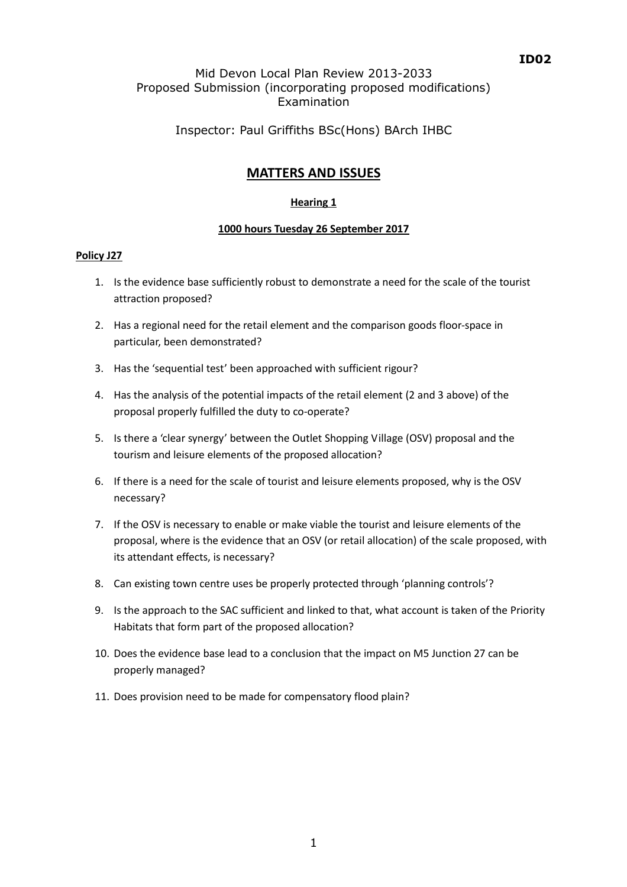## ID02

### Mid Devon Local Plan Review 2013-2033 Proposed Submission (incorporating proposed modifications) Examination

## Inspector: Paul Griffiths BSc(Hons) BArch IHBC

# MATTERS AND ISSUES

#### Hearing 1

#### 1000 hours Tuesday 26 September 2017

#### Policy J27

- 1. Is the evidence base sufficiently robust to demonstrate a need for the scale of the tourist attraction proposed?
- 2. Has a regional need for the retail element and the comparison goods floor-space in particular, been demonstrated?
- 3. Has the 'sequential test' been approached with sufficient rigour?
- 4. Has the analysis of the potential impacts of the retail element (2 and 3 above) of the proposal properly fulfilled the duty to co-operate?
- 5. Is there a 'clear synergy' between the Outlet Shopping Village (OSV) proposal and the tourism and leisure elements of the proposed allocation?
- 6. If there is a need for the scale of tourist and leisure elements proposed, why is the OSV necessary?
- 7. If the OSV is necessary to enable or make viable the tourist and leisure elements of the proposal, where is the evidence that an OSV (or retail allocation) of the scale proposed, with its attendant effects, is necessary?
- 8. Can existing town centre uses be properly protected through 'planning controls'?
- 9. Is the approach to the SAC sufficient and linked to that, what account is taken of the Priority Habitats that form part of the proposed allocation?
- 10. Does the evidence base lead to a conclusion that the impact on M5 Junction 27 can be properly managed?
- 11. Does provision need to be made for compensatory flood plain?